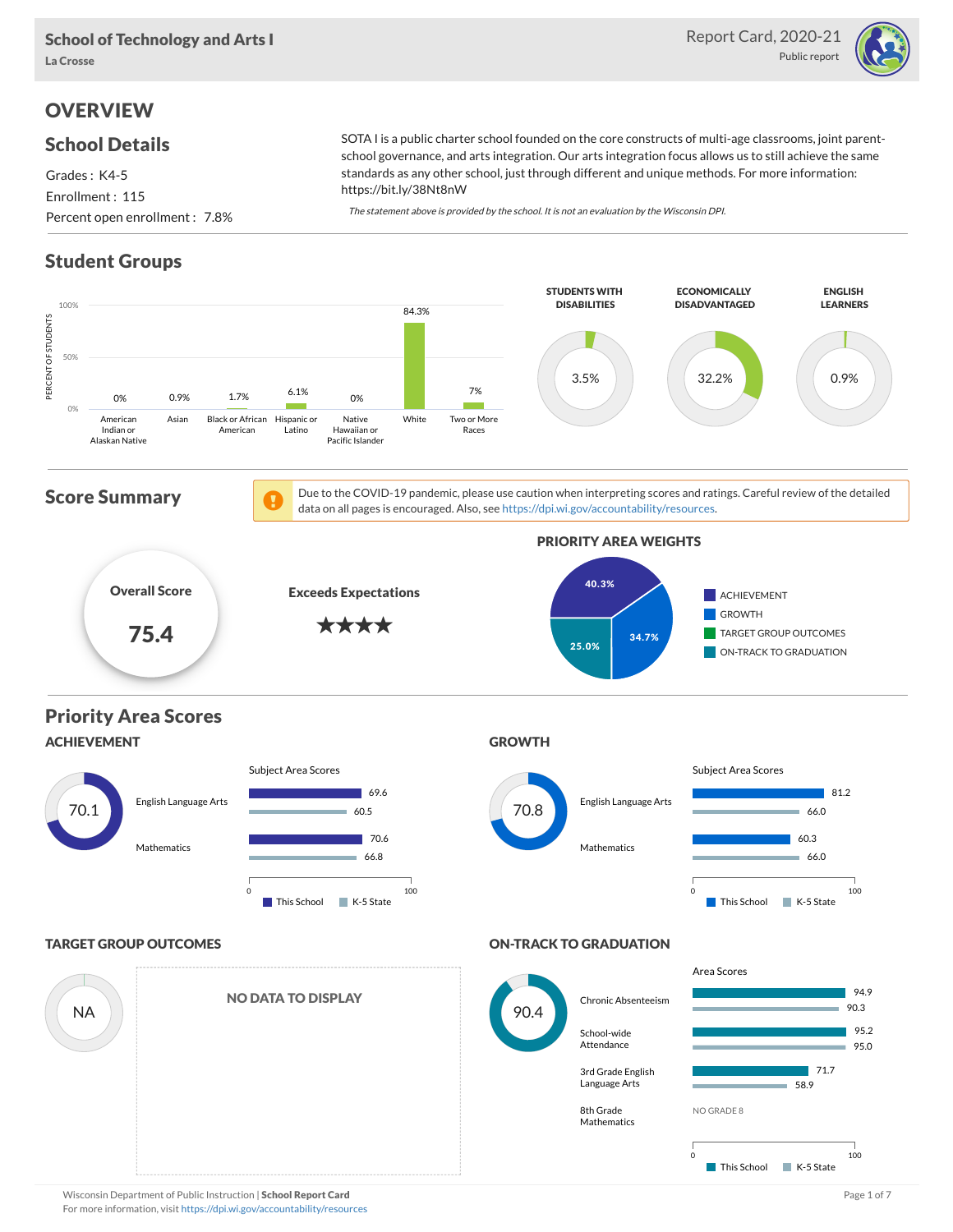

# **OVERVIEW**

### School Details

Grades : K4-5 Enrollment : 115 Percent open enrollment : 7.8% SOTA I is a public charter school founded on the core constructs of multi-age classrooms, joint parentschool governance, and arts integration. Our arts integration focus allows us to still achieve the same standards as any other school, just through different and unique methods. For more information: https://bit.ly/38Nt8nW

The statement above is provided by the school. It is not an evaluation by the Wisconsin DPI.

# Student Groups

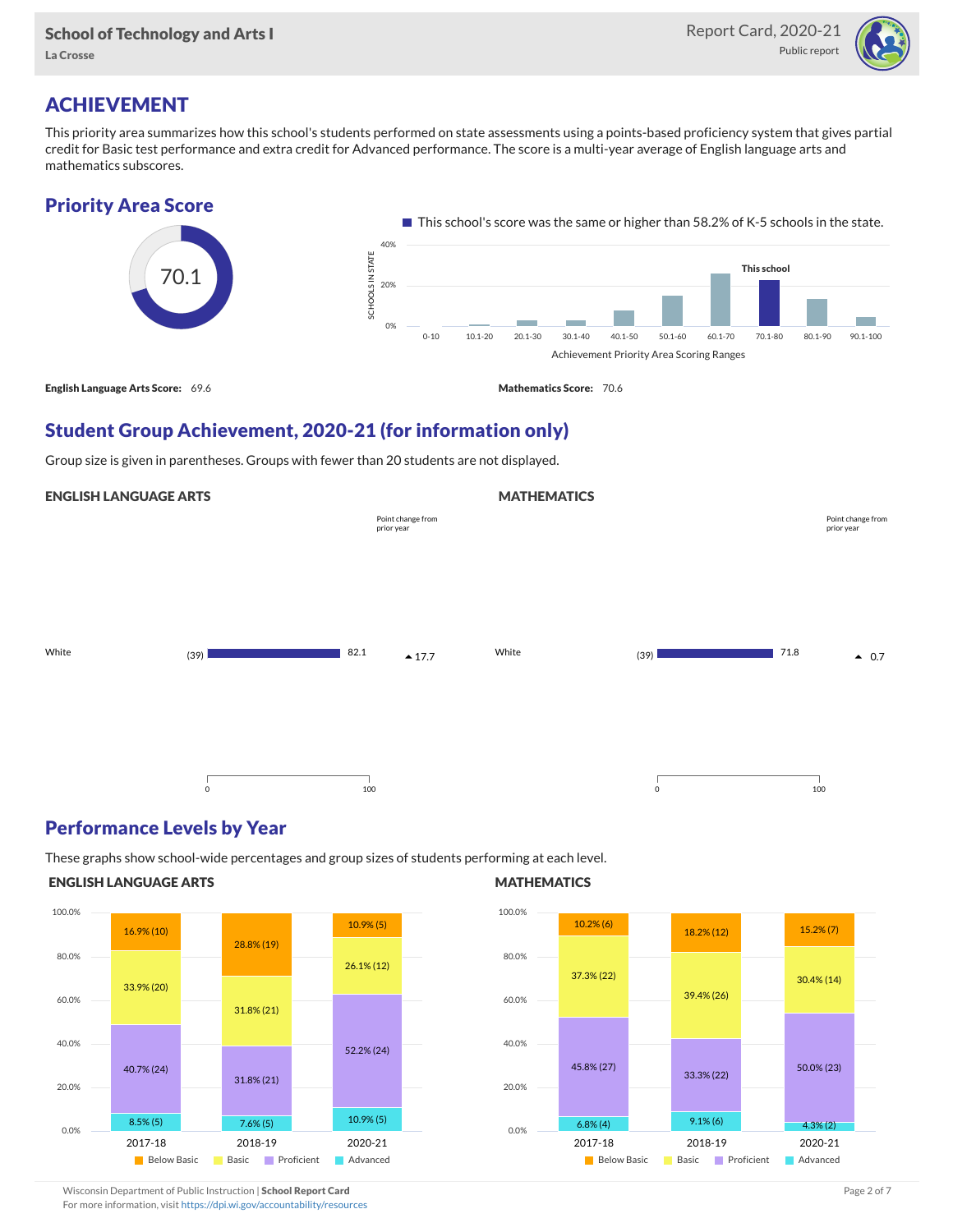

# ACHIEVEMENT

This priority area summarizes how this school's students performed on state assessments using a points-based proficiency system that gives partial credit for Basic test performance and extra credit for Advanced performance. The score is a multi-year average of English language arts and mathematics subscores.



# Student Group Achievement, 2020-21 (for information only)

Group size is given in parentheses. Groups with fewer than 20 students are not displayed.

### ENGLISH LANGUAGE ARTS

|       |             | Point change from<br>prior year |       |         | Point change from<br>prior year |
|-------|-------------|---------------------------------|-------|---------|---------------------------------|
|       |             |                                 |       |         |                                 |
| White | (39)        | 82.1<br>$\triangle$ 17.7        | White | (39)    | 71.8<br>$\triangle$ 0.7         |
|       |             |                                 |       |         |                                 |
|       | $\mathsf 0$ | 100                             |       | $\circ$ | 100                             |

### Performance Levels by Year

These graphs show school-wide percentages and group sizes of students performing at each level.

#### ENGLISH LANGUAGE ARTS



#### **MATHEMATICS**

**MATHEMATICS** 



Wisconsin Department of Public Instruction | School Report Card Page 2 of 7 and 2008 and 2009 and 2 of 7 and 2 of 7 For more information, visit <https://dpi.wi.gov/accountability/resources>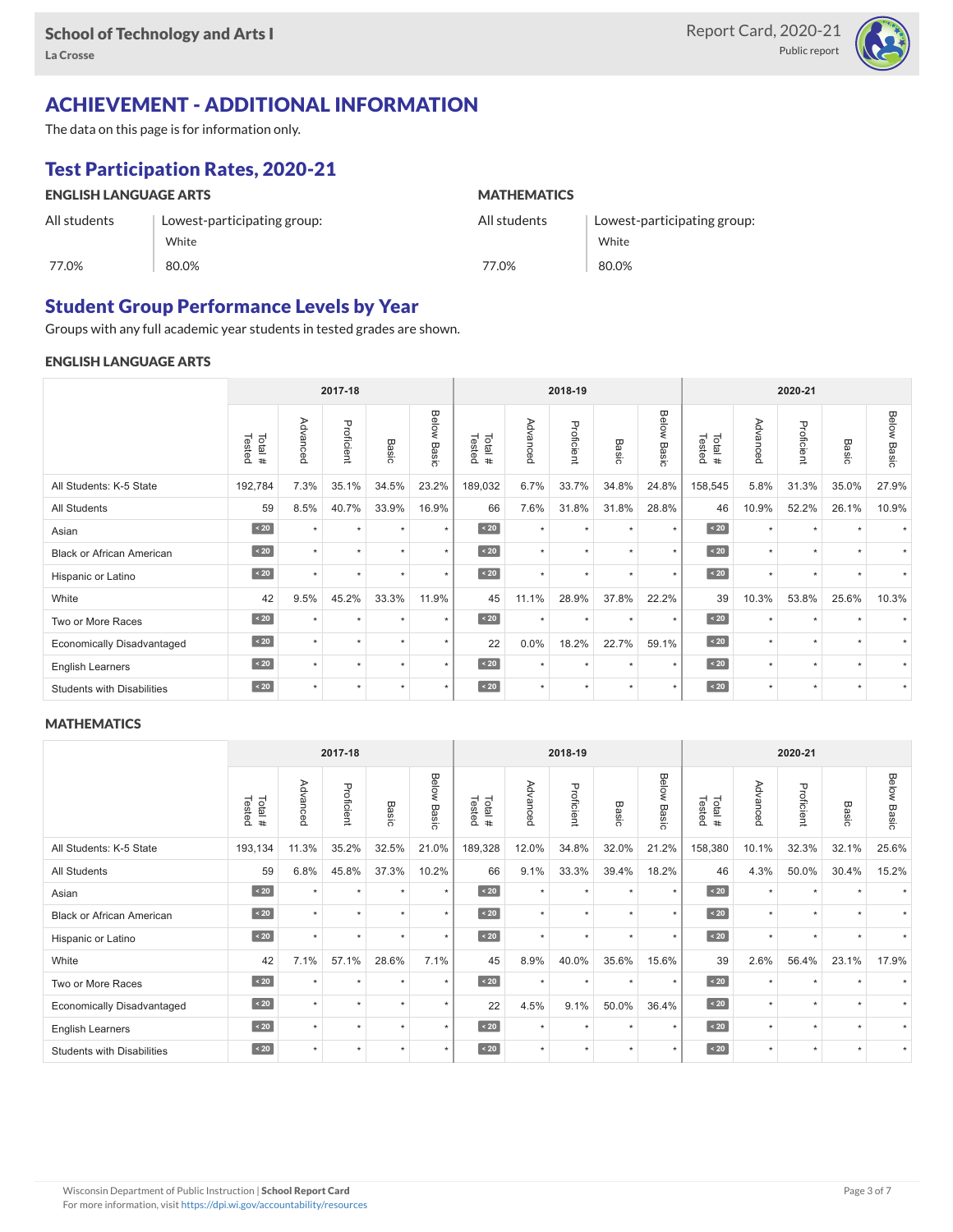

# ACHIEVEMENT - ADDITIONAL INFORMATION

The data on this page is for information only.

# Test Participation Rates, 2020-21

| <b>ENGLISH LANGUAGE ARTS</b> |                             | <b>MATHEMATICS</b> |                             |  |  |  |  |
|------------------------------|-----------------------------|--------------------|-----------------------------|--|--|--|--|
| All students                 | Lowest-participating group: | All students       | Lowest-participating group: |  |  |  |  |
|                              | White                       |                    | White                       |  |  |  |  |
| 77.0%                        | 80.0%                       | 77.0%              | 80.0%                       |  |  |  |  |

### Student Group Performance Levels by Year

Groups with any full academic year students in tested grades are shown.

#### ENGLISH LANGUAGE ARTS

|                                   |                  |           | 2017-18    |         |                |                  | 2018-19  |            |           |                      | 2020-21          |          |            |           |                    |
|-----------------------------------|------------------|-----------|------------|---------|----------------|------------------|----------|------------|-----------|----------------------|------------------|----------|------------|-----------|--------------------|
|                                   | Tested<br>Total# | Advanced  | Proficient | Basic   | Below<br>Basic | Tested<br>Total# | Advanced | Proficient | Basic     | Below<br>Basic       | Tested<br>Total# | Advancec | Proficient | Basic     | <b>Below Basic</b> |
| All Students: K-5 State           | 192,784          | 7.3%      | 35.1%      | 34.5%   | 23.2%          | 189,032          | 6.7%     | 33.7%      | 34.8%     | 24.8%                | 158,545          | 5.8%     | 31.3%      | 35.0%     | 27.9%              |
| <b>All Students</b>               | 59               | 8.5%      | 40.7%      | 33.9%   | 16.9%          | 66               | 7.6%     | 31.8%      | 31.8%     | 28.8%                | 46               | 10.9%    | 52.2%      | 26.1%     | 10.9%              |
| Asian                             | $\sim 20$        | $\ddot{}$ | $\star$    | $\star$ | $\star$        | $\angle 20$      | $\star$  | $\star$    | $\ddot{}$ | ٠                    | $\sim 20$        | $\star$  | $\star$    |           |                    |
| <b>Black or African American</b>  | $\sim 20$        | $\star$   | $\star$    | $\star$ | $\star$        | $\sim 20$        | $\star$  | $\star$    |           | $\star$              | $\angle 20$      | $\star$  | $\star$    |           |                    |
| Hispanic or Latino                | $\angle 20$      | $\star$   | $\star$    | $\star$ | $\star$        | $\angle 20$      | $\star$  | $\star$    | $\star$   | $\star$              | $\angle 20$      | $\star$  | $\star$    | $\star$   |                    |
| White                             | 42               | 9.5%      | 45.2%      | 33.3%   | 11.9%          | 45               | 11.1%    | 28.9%      | 37.8%     | 22.2%                | 39               | 10.3%    | 53.8%      | 25.6%     | 10.3%              |
| Two or More Races                 | $\sim 20$        | $\star$   | $\star$    | $\star$ | $\star$        | $\sim 20$        | $\star$  | $\star$    | $\star$   | $\star$              | $\angle 20$      | $\star$  | $\star$    |           |                    |
| <b>Economically Disadvantaged</b> | $\sim 20$        | $\ddot{}$ | $\star$    | $\star$ | $\star$        | 22               | 0.0%     | 18.2%      | 22.7%     | 59.1%                | $\angle 20$      | $\star$  | $\star$    | $\ddot{}$ |                    |
| English Learners                  | $\sim 20$        | $\ddot{}$ | $\star$    | ٠       | $\star$        | $\sim 20$        | $\star$  | $\star$    |           | $\ddot{\phantom{1}}$ | $\angle 20$      | $\star$  | ٠          |           |                    |
| <b>Students with Disabilities</b> | $\sim 20$        | $\star$   | $\star$    | $\star$ | $\star$        | $\sim 20$        | $\star$  | $\star$    | $\ddot{}$ | $\star$              | $\angle 20$      | $\star$  | $\star$    | $\star$   |                    |

#### **MATHEMATICS**

|                                   | 2017-18          |                      |            |         |                | 2018-19          |          |            |           | 2020-21        |                  |          |            |           |                    |
|-----------------------------------|------------------|----------------------|------------|---------|----------------|------------------|----------|------------|-----------|----------------|------------------|----------|------------|-----------|--------------------|
|                                   | Tested<br>Total# | Advanced             | Proficient | Basic   | Below<br>Basic | Tested<br>Total# | Advanced | Proficient | Basic     | Below<br>Basic | Tested<br>Total# | Advanced | Proficient | Basic     | <b>Below Basic</b> |
| All Students: K-5 State           | 193,134          | 11.3%                | 35.2%      | 32.5%   | 21.0%          | 189,328          | 12.0%    | 34.8%      | 32.0%     | 21.2%          | 158,380          | 10.1%    | 32.3%      | 32.1%     | 25.6%              |
| All Students                      | 59               | 6.8%                 | 45.8%      | 37.3%   | 10.2%          | 66               | 9.1%     | 33.3%      | 39.4%     | 18.2%          | 46               | 4.3%     | 50.0%      | 30.4%     | 15.2%              |
| Asian                             | $\sim 20$        | ٠                    | ٠          | ٠       | $\star$        | $\sim 20$        | $\star$  | $\star$    | $\ddot{}$ | $\star$        | $\sim 20$        | $\star$  | $\star$    |           |                    |
| <b>Black or African American</b>  | $\sim 20$        | ٠                    | $\star$    |         | $\star$        | $\sim 20$        | $\star$  | $\star$    |           | $\star$        | $\sim 20$        | $\star$  | $\star$    |           |                    |
| Hispanic or Latino                | $\sim 20$        | ÷                    | ٠          | ٠       | $\star$        | $\angle 20$      | $\star$  | $\star$    | ٠         | $\star$        | $\angle 20$      | $\star$  | $\star$    | $\ddot{}$ |                    |
| White                             | 42               | 7.1%                 | 57.1%      | 28.6%   | 7.1%           | 45               | 8.9%     | 40.0%      | 35.6%     | 15.6%          | 39               | 2.6%     | 56.4%      | 23.1%     | 17.9%              |
| Two or More Races                 | $\sim 20$        | $\star$              | $\star$    | $\star$ | $\star$        | $\angle 20$      | $\star$  | $\star$    | $\star$   | $\star$        | $\angle 20$      | $\star$  | $\star$    |           |                    |
| <b>Economically Disadvantaged</b> | $\sim 20$        |                      | $\star$    | $\star$ | $\star$        | 22               | 4.5%     | 9.1%       | 50.0%     | 36.4%          | $\angle 20$      | $\star$  | $\star$    | $\ddot{}$ |                    |
| <b>English Learners</b>           | $\leq 20$        | $\ddot{\phantom{1}}$ | ٠          |         | $\star$        | $\sim 20$        | $\star$  | $\star$    | $\ddot{}$ | ٠              | $\angle 20$      | $\star$  | ٠          |           |                    |
| <b>Students with Disabilities</b> | $\sim 20$        | $\star$              | ٠          | ٠       | $\star$        | $\angle 20$      | $\star$  | $\star$    | $\star$   | $\star$        | $\sim 20$        | $\star$  | $\star$    | $\star$   |                    |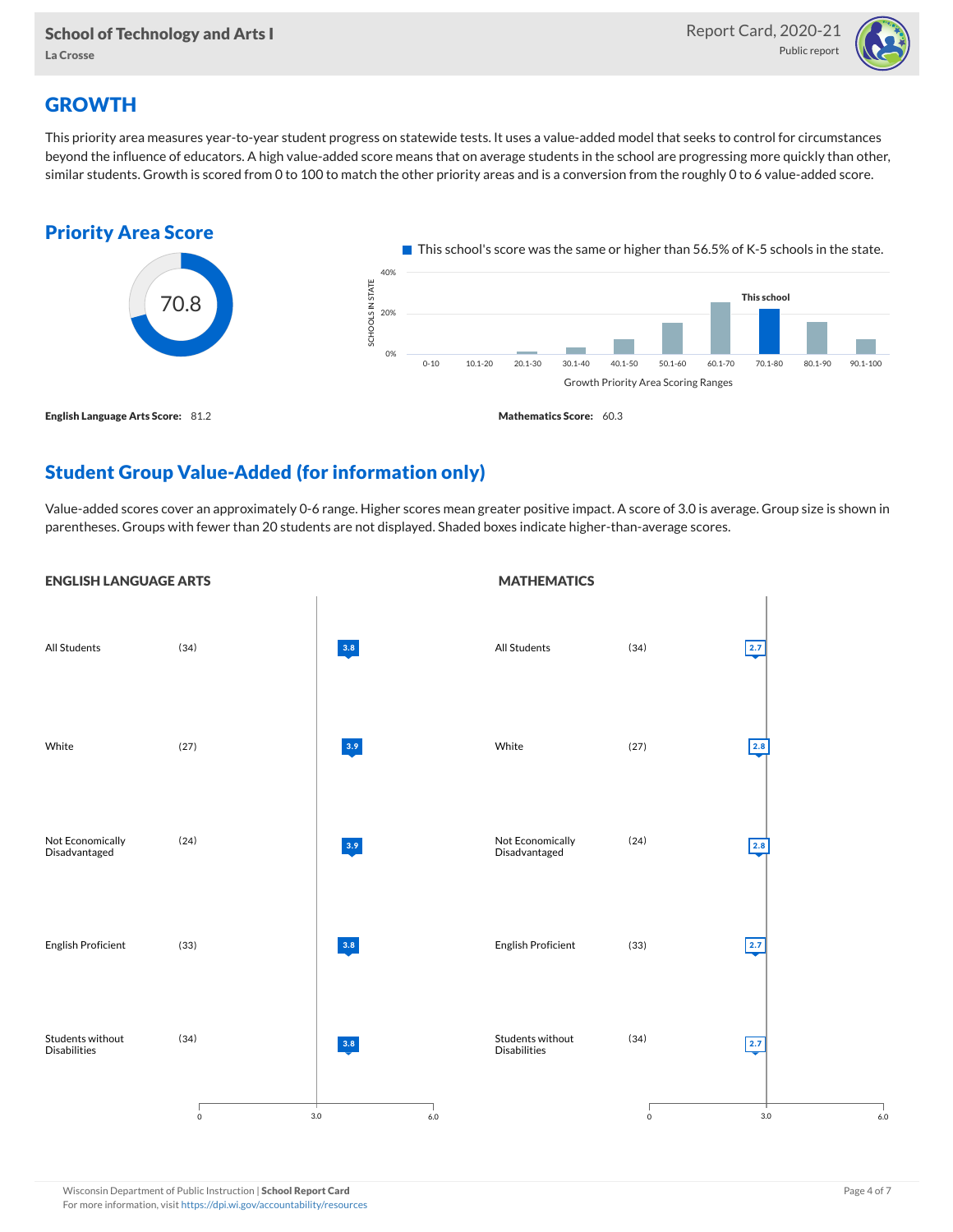

# **GROWTH**

This priority area measures year-to-year student progress on statewide tests. It uses a value-added model that seeks to control for circumstances beyond the influence of educators. A high value-added score means that on average students in the school are progressing more quickly than other, similar students. Growth is scored from 0 to 100 to match the other priority areas and is a conversion from the roughly 0 to 6 value-added score.



# Student Group Value-Added (for information only)

Value-added scores cover an approximately 0-6 range. Higher scores mean greater positive impact. A score of 3.0 is average. Group size is shown in parentheses. Groups with fewer than 20 students are not displayed. Shaded boxes indicate higher-than-average scores.

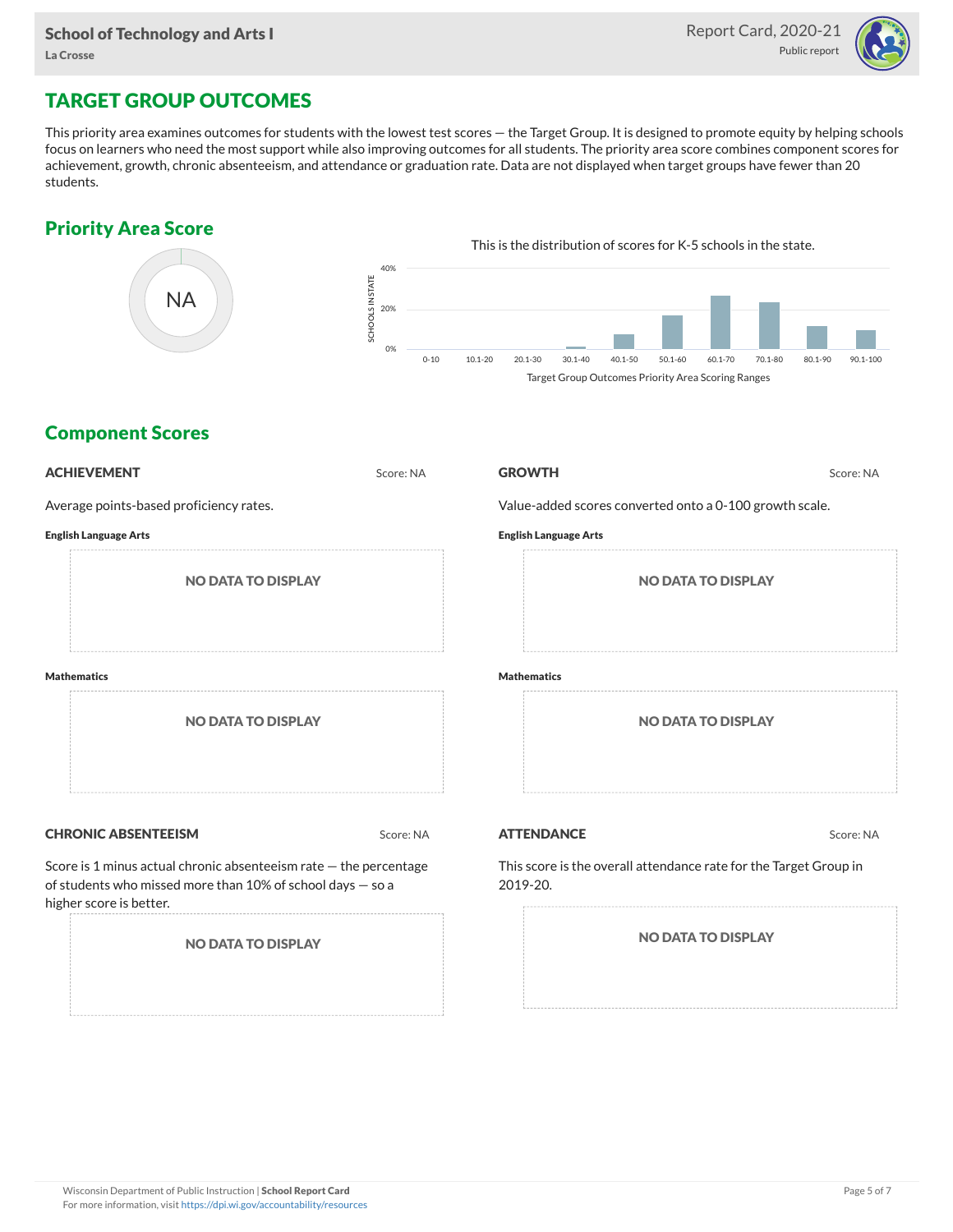

# TARGET GROUP OUTCOMES

This priority area examines outcomes for students with the lowest test scores — the Target Group. It is designed to promote equity by helping schools focus on learners who need the most support while also improving outcomes for all students. The priority area score combines component scores for achievement, growth, chronic absenteeism, and attendance or graduation rate. Data are not displayed when target groups have fewer than 20 students.

### Priority Area Score



### Component Scores

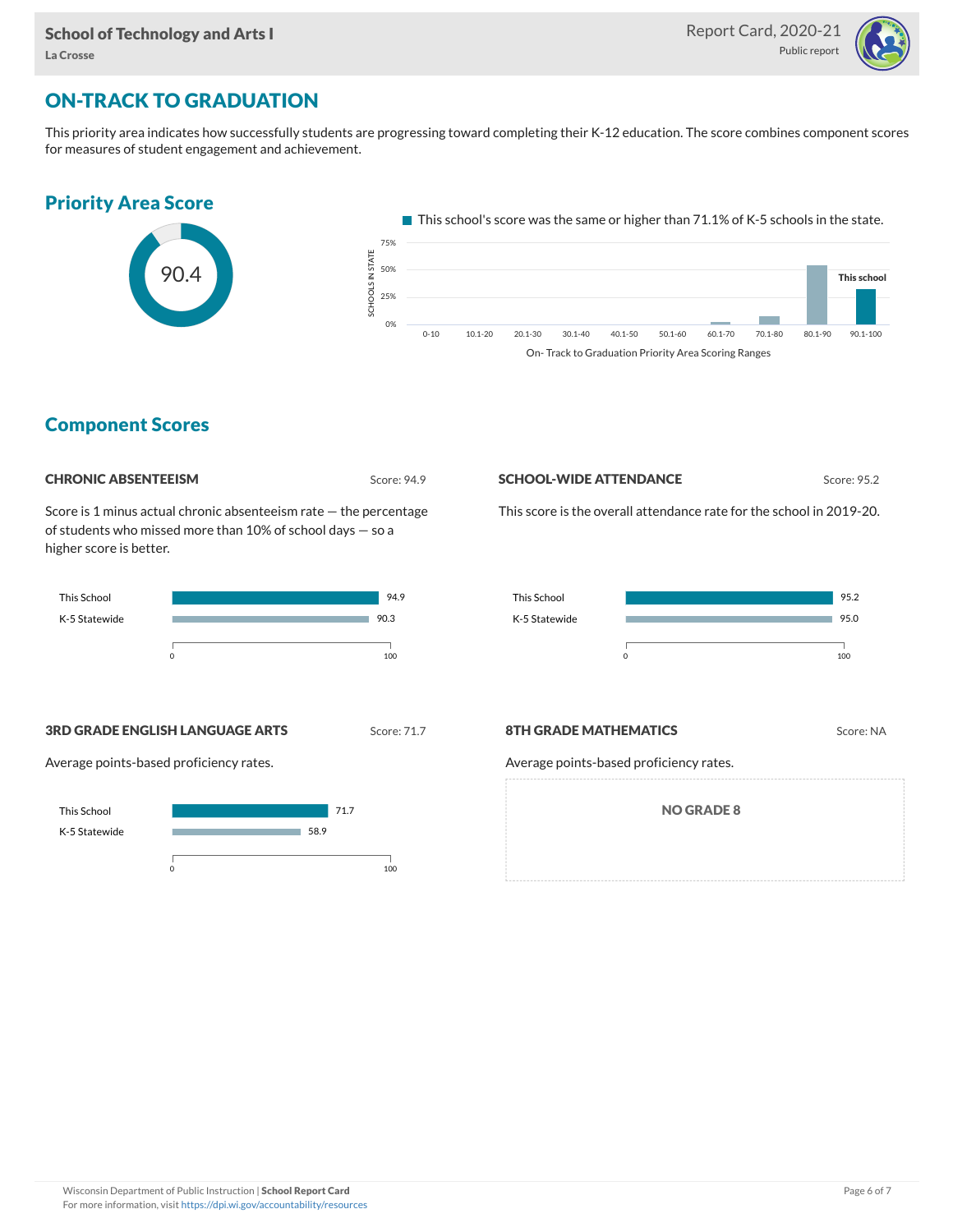

# ON-TRACK TO GRADUATION

This priority area indicates how successfully students are progressing toward completing their K-12 education. The score combines component scores for measures of student engagement and achievement.



On- Track to Graduation Priority Area Scoring Ranges

### Component Scores

Score: 94.9

Score is 1 minus actual chronic absenteeism rate — the percentage of students who missed more than 10% of school days — so a higher score is better.



**3RD GRADE ENGLISH LANGUAGE ARTS** Score: 71.7

Average points-based proficiency rates.





This score is the overall attendance rate for the school in 2019-20.



**8TH GRADE MATHEMATICS** Score: NA

Average points-based proficiency rates.

NO GRADE 8